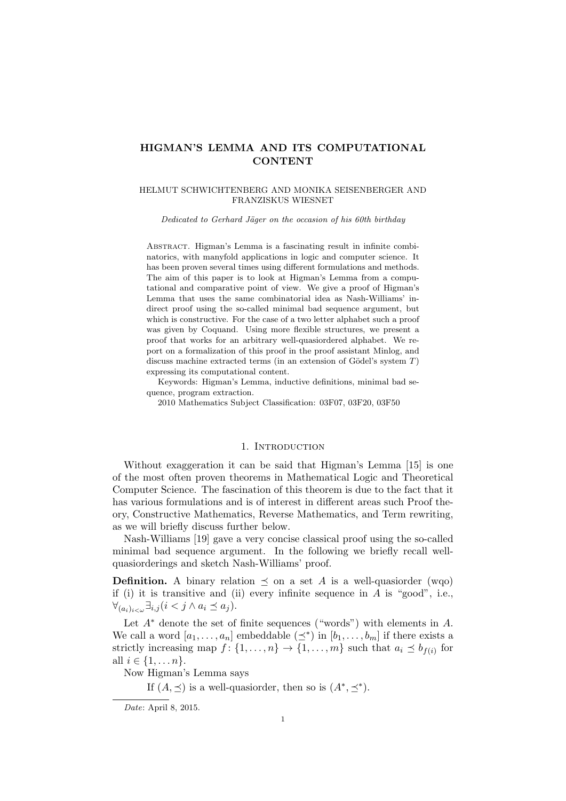# HIGMAN'S LEMMA AND ITS COMPUTATIONAL **CONTENT**

### HELMUT SCHWICHTENBERG AND MONIKA SEISENBERGER AND FRANZISKUS WIESNET

Dedicated to Gerhard Jäger on the occasion of his 60th birthday

ABSTRACT. Higman's Lemma is a fascinating result in infinite combinatorics, with manyfold applications in logic and computer science. It has been proven several times using different formulations and methods. The aim of this paper is to look at Higman's Lemma from a computational and comparative point of view. We give a proof of Higman's Lemma that uses the same combinatorial idea as Nash-Williams' indirect proof using the so-called minimal bad sequence argument, but which is constructive. For the case of a two letter alphabet such a proof was given by Coquand. Using more flexible structures, we present a proof that works for an arbitrary well-quasiordered alphabet. We report on a formalization of this proof in the proof assistant Minlog, and discuss machine extracted terms (in an extension of Gödel's system  $T$ ) expressing its computational content.

Keywords: Higman's Lemma, inductive definitions, minimal bad sequence, program extraction.

2010 Mathematics Subject Classification: 03F07, 03F20, 03F50

# 1. Introduction

Without exaggeration it can be said that Higman's Lemma [15] is one of the most often proven theorems in Mathematical Logic and Theoretical Computer Science. The fascination of this theorem is due to the fact that it has various formulations and is of interest in different areas such Proof theory, Constructive Mathematics, Reverse Mathematics, and Term rewriting, as we will briefly discuss further below.

Nash-Williams [19] gave a very concise classical proof using the so-called minimal bad sequence argument. In the following we briefly recall wellquasiorderings and sketch Nash-Williams' proof.

**Definition.** A binary relation  $\preceq$  on a set A is a well-quasiorder (wqo) if (i) it is transitive and (ii) every infinite sequence in  $A$  is "good", i.e.,  $\forall_{(a_i)_{i\leq\omega}}\exists_{i,j} (i\leq j\land a_i\preceq a_j).$ 

Let  $A^*$  denote the set of finite sequences ("words") with elements in  $A$ . We call a word  $[a_1, \ldots, a_n]$  embeddable  $(\preceq^*)$  in  $[b_1, \ldots, b_m]$  if there exists a strictly increasing map  $f: \{1, \ldots, n\} \to \{1, \ldots, m\}$  such that  $a_i \preceq b_{f(i)}$  for all  $i \in \{1, ..., n\}$ .

Now Higman's Lemma says

If  $(A, \preceq)$  is a well-quasionder, then so is  $(A^*, \preceq^*)$ .

Date: April 8, 2015.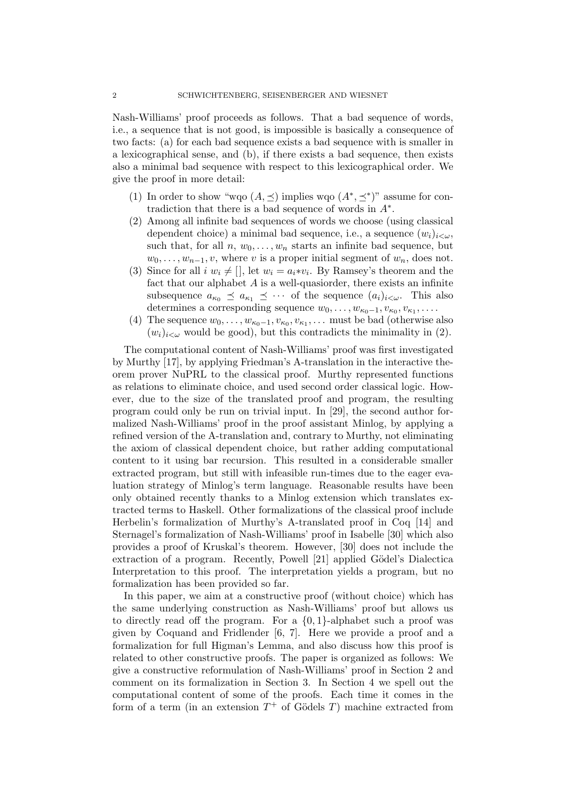Nash-Williams' proof proceeds as follows. That a bad sequence of words, i.e., a sequence that is not good, is impossible is basically a consequence of two facts: (a) for each bad sequence exists a bad sequence with is smaller in a lexicographical sense, and (b), if there exists a bad sequence, then exists also a minimal bad sequence with respect to this lexicographical order. We give the proof in more detail:

- (1) In order to show "wqo  $(A, \preceq)$  implies wqo  $(A^*, \preceq^*)$ " assume for contradiction that there is a bad sequence of words in  $A^*$ .
- (2) Among all infinite bad sequences of words we choose (using classical dependent choice) a minimal bad sequence, i.e., a sequence  $(w_i)_{i\lt\omega}$ , such that, for all  $n, w_0, \ldots, w_n$  starts an infinite bad sequence, but  $w_0, \ldots, w_{n-1}, v$ , where v is a proper initial segment of  $w_n$ , does not.
- (3) Since for all  $i w_i \neq [$ , let  $w_i = a_i * v_i$ . By Ramsey's theorem and the fact that our alphabet  $A$  is a well-quasionder, there exists an infinite subsequence  $a_{\kappa_0} \preceq a_{\kappa_1} \preceq \cdots$  of the sequence  $(a_i)_{i < \omega}$ . This also determines a corresponding sequence  $w_0, \ldots, w_{\kappa_0-1}, v_{\kappa_0}, v_{\kappa_1}, \ldots$
- (4) The sequence  $w_0, \ldots, w_{\kappa_0-1}, v_{\kappa_0}, v_{\kappa_1}, \ldots$  must be bad (otherwise also  $(w_i)_{i\leq \omega}$  would be good), but this contradicts the minimality in (2).

The computational content of Nash-Williams' proof was first investigated by Murthy [17], by applying Friedman's A-translation in the interactive theorem prover NuPRL to the classical proof. Murthy represented functions as relations to eliminate choice, and used second order classical logic. However, due to the size of the translated proof and program, the resulting program could only be run on trivial input. In [29], the second author formalized Nash-Williams' proof in the proof assistant Minlog, by applying a refined version of the A-translation and, contrary to Murthy, not eliminating the axiom of classical dependent choice, but rather adding computational content to it using bar recursion. This resulted in a considerable smaller extracted program, but still with infeasible run-times due to the eager evaluation strategy of Minlog's term language. Reasonable results have been only obtained recently thanks to a Minlog extension which translates extracted terms to Haskell. Other formalizations of the classical proof include Herbelin's formalization of Murthy's A-translated proof in Coq [14] and Sternagel's formalization of Nash-Williams' proof in Isabelle [30] which also provides a proof of Kruskal's theorem. However, [30] does not include the extraction of a program. Recently, Powell [21] applied Gödel's Dialectica Interpretation to this proof. The interpretation yields a program, but no formalization has been provided so far.

In this paper, we aim at a constructive proof (without choice) which has the same underlying construction as Nash-Williams' proof but allows us to directly read off the program. For a  $\{0,1\}$ -alphabet such a proof was given by Coquand and Fridlender [6, 7]. Here we provide a proof and a formalization for full Higman's Lemma, and also discuss how this proof is related to other constructive proofs. The paper is organized as follows: We give a constructive reformulation of Nash-Williams' proof in Section 2 and comment on its formalization in Section 3. In Section 4 we spell out the computational content of some of the proofs. Each time it comes in the form of a term (in an extension  $T^+$  of Gödels T) machine extracted from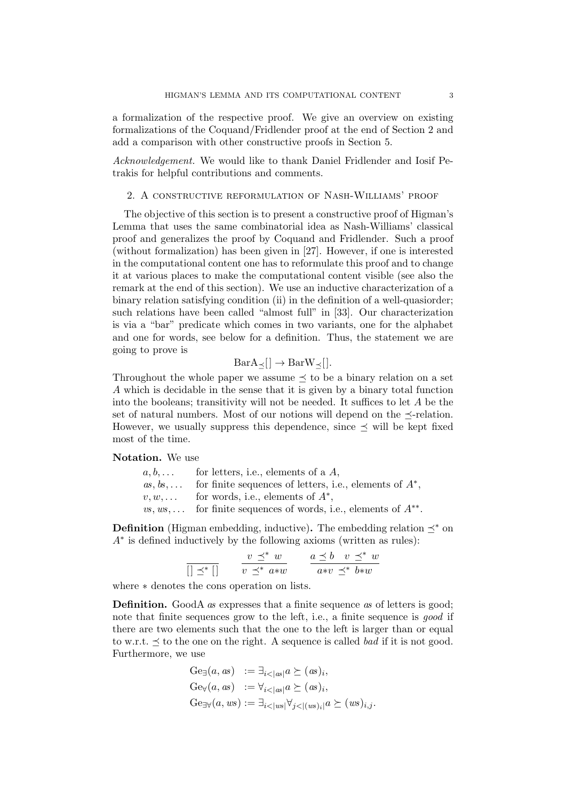a formalization of the respective proof. We give an overview on existing formalizations of the Coquand/Fridlender proof at the end of Section 2 and add a comparison with other constructive proofs in Section 5.

Acknowledgement. We would like to thank Daniel Fridlender and Iosif Petrakis for helpful contributions and comments.

## 2. A constructive reformulation of Nash-Williams' proof

The objective of this section is to present a constructive proof of Higman's Lemma that uses the same combinatorial idea as Nash-Williams' classical proof and generalizes the proof by Coquand and Fridlender. Such a proof (without formalization) has been given in [27]. However, if one is interested in the computational content one has to reformulate this proof and to change it at various places to make the computational content visible (see also the remark at the end of this section). We use an inductive characterization of a binary relation satisfying condition (ii) in the definition of a well-quasiorder; such relations have been called "almost full" in [33]. Our characterization is via a "bar" predicate which comes in two variants, one for the alphabet and one for words, see below for a definition. Thus, the statement we are going to prove is

$$
BarA_{\preceq}[] \to BarW_{\preceq}[].
$$

Throughout the whole paper we assume  $\preceq$  to be a binary relation on a set A which is decidable in the sense that it is given by a binary total function into the booleans; transitivity will not be needed. It suffices to let  $A$  be the set of natural numbers. Most of our notions will depend on the  $\prec$ -relation. However, we usually suppress this dependence, since  $\preceq$  will be kept fixed most of the time.

# Notation. We use

 $a, b, \ldots$  for letters, i.e., elements of a  $A$ ,  $as, bs, \ldots$  for finite sequences of letters, i.e., elements of  $A^*$ ,  $v, w, \ldots$  for words, i.e., elements of  $A^*$ ,  $vs, ws, \ldots$  for finite sequences of words, i.e., elements of  $A^{**}$ .

**Definition** (Higman embedding, inductive). The embedding relation  $\prec^*$  on A∗ is defined inductively by the following axioms (written as rules):

> $[$   $\preceq^*$   $[$   $]$  $v \preceq^* w$  $v \preceq^* a * w$  $a \preceq b \quad v \preceq^* w$ a∗v  $\preceq^*$  b∗w

where ∗ denotes the cons operation on lists.

Definition. GoodA as expresses that a finite sequence as of letters is good; note that finite sequences grow to the left, i.e., a finite sequence is *good* if there are two elements such that the one to the left is larger than or equal to w.r.t.  $\preceq$  to the one on the right. A sequence is called *bad* if it is not good. Furthermore, we use

$$
Ge_{\exists}(a, as) := \exists_{i < |as|} a \succeq (as)_i,
$$
  
\n
$$
Ge_{\forall}(a, as) := \forall_{i < |as|} a \succeq (as)_i,
$$
  
\n
$$
Ge_{\exists\forall}(a, ws) := \exists_{i < |ws|} \forall_{j < |(ws)_i|} a \succeq (ws)_{i,j}.
$$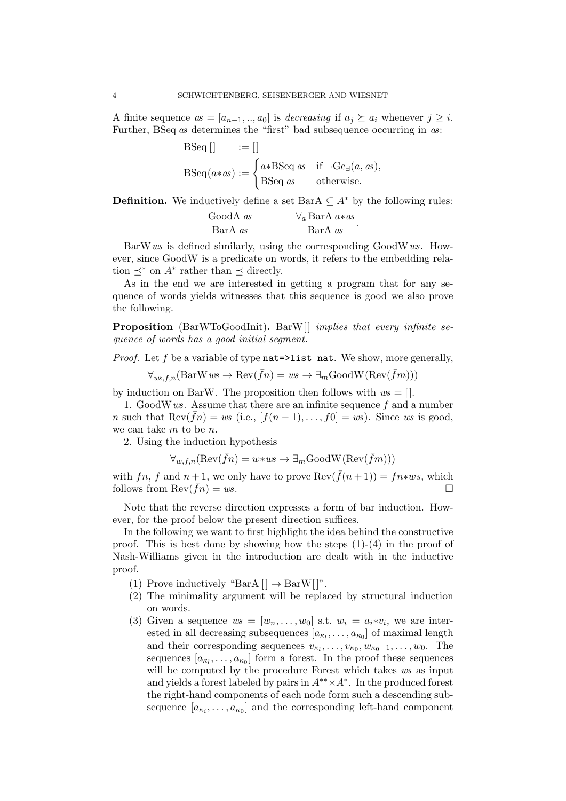A finite sequence  $as = [a_{n-1},..,a_0]$  is *decreasing* if  $a_j \succeq a_i$  whenever  $j \geq i$ . Further, BSeq as determines the "first" bad subsequence occurring in as:

BSeq [] := []  
\n
$$
BSeq(a*as) := \begin{cases} a*BSeq \ as & \text{if } \neg Ge_{\exists}(a, as), \\ BSeq \ as & \text{otherwise.} \end{cases}
$$

**Definition.** We inductively define a set BarA  $\subseteq A^*$  by the following rules:

$$
\frac{\text{GoodA} \text{ as}}{\text{BarA} \text{ as}} \qquad \frac{\forall_a \text{BarA} \text{ } a \ast \text{ as}}{\text{BarA} \text{ } \text{ as}}.
$$

BarWws is defined similarly, using the corresponding GoodWws. However, since GoodW is a predicate on words, it refers to the embedding relation  $\preceq^*$  on  $A^*$  rather than  $\preceq$  directly.

As in the end we are interested in getting a program that for any sequence of words yields witnesses that this sequence is good we also prove the following.

Proposition (BarWToGoodInit). BarW[] implies that every infinite sequence of words has a good initial segment.

*Proof.* Let f be a variable of type  $nat=$ >list nat. We show, more generally,

$$
\forall_{ws,f,n}(\text{BarW }ws \to \text{Rev}(\bar{f}n) = ws \to \exists_m \text{GoodW}(\text{Rev}(\bar{f}m)))
$$

by induction on BarW. The proposition then follows with  $ws = []$ .

1. Good W  $ws$ . Assume that there are an infinite sequence  $f$  and a number n such that  $\text{Rev}(\bar{f}_n) = ws$  (i.e.,  $[f(n-1), \ldots, f_0] = ws$ ). Since ws is good, we can take m to be n.

2. Using the induction hypothesis

$$
\forall_{w,f,n}(\text{Rev}(\bar{f}n) = w \cdot ws \to \exists_m \text{GoodW}(\text{Rev}(\bar{f}m)))
$$

with fn, f and  $n+1$ , we only have to prove  $\text{Rev}(\bar{f}(n+1)) = f_n * w s$ , which follows from  $\text{Rev}(fn) = ws$ .

Note that the reverse direction expresses a form of bar induction. However, for the proof below the present direction suffices.

In the following we want to first highlight the idea behind the constructive proof. This is best done by showing how the steps  $(1)-(4)$  in the proof of Nash-Williams given in the introduction are dealt with in the inductive proof.

- (1) Prove inductively "BarA  $[] \rightarrow$  BarW $[]$ ".
- (2) The minimality argument will be replaced by structural induction on words.
- (3) Given a sequence  $ws = [w_n, \ldots, w_0]$  s.t.  $w_i = a_i * v_i$ , we are interested in all decreasing subsequences  $[a_{\kappa_l}, \ldots, a_{\kappa_0}]$  of maximal length and their corresponding sequences  $v_{\kappa_l}, \ldots, v_{\kappa_0}, w_{\kappa_0-1}, \ldots, w_0$ . The sequences  $[a_{\kappa_l}, \ldots, a_{\kappa_0}]$  form a forest. In the proof these sequences will be computed by the procedure Forest which takes  $ws$  as input and yields a forest labeled by pairs in  $A^{**} \times A^*$ . In the produced forest the right-hand components of each node form such a descending subsequence  $[a_{\kappa_i}, \ldots, a_{\kappa_0}]$  and the corresponding left-hand component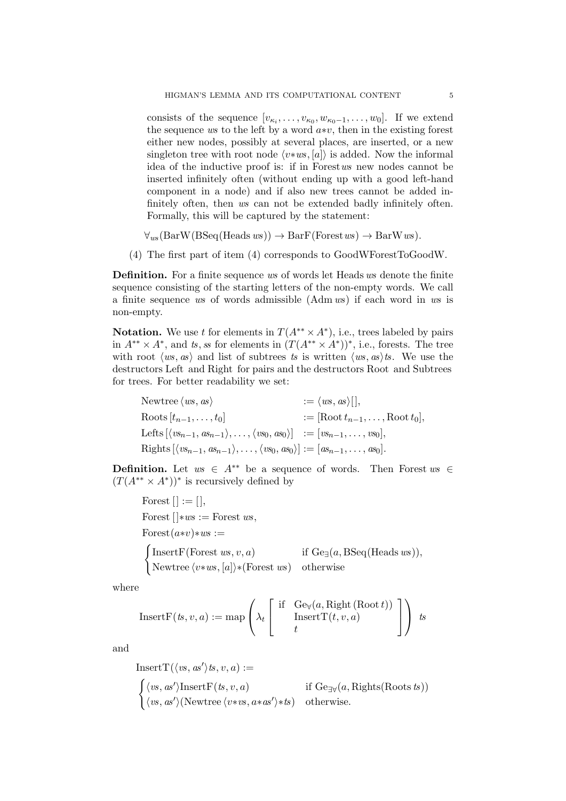consists of the sequence  $[v_{\kappa_i}, \ldots, v_{\kappa_0}, w_{\kappa_0-1}, \ldots, w_0]$ . If we extend the sequence ws to the left by a word  $a*v$ , then in the existing forest either new nodes, possibly at several places, are inserted, or a new singleton tree with root node  $\langle v*ws, [a]\rangle$  is added. Now the informal idea of the inductive proof is: if in Forestws new nodes cannot be inserted infinitely often (without ending up with a good left-hand component in a node) and if also new trees cannot be added infinitely often, then ws can not be extended badly infinitely often. Formally, this will be captured by the statement:

 $\forall_{ws}(\text{BarW}(\text{BSeq}(\text{Heads }ws)) \rightarrow \text{BarF}(\text{Forest }ws) \rightarrow \text{BarW }ws).$ 

(4) The first part of item (4) corresponds to GoodWForestToGoodW.

Definition. For a finite sequence ws of words let Heads ws denote the finite sequence consisting of the starting letters of the non-empty words. We call a finite sequence ws of words admissible (Adm ws) if each word in ws is non-empty.

**Notation.** We use t for elements in  $T(A^{**} \times A^*)$ , i.e., trees labeled by pairs in  $A^{**} \times A^*$ , and ts, ss for elements in  $(T(A^{**} \times A^*))^*$ , i.e., forests. The tree with root  $\langle ws, as \rangle$  and list of subtrees ts is written  $\langle ws, as \rangle$ ts. We use the destructors Left and Right for pairs and the destructors Root and Subtrees for trees. For better readability we set:

| Newtree $\langle ws, as \rangle$                                                                                                        | $:= \langle ws, as \rangle[,$                |
|-----------------------------------------------------------------------------------------------------------------------------------------|----------------------------------------------|
| Roots $[t_{n-1},\ldots,t_0]$                                                                                                            | $:=$ [Root $t_{n-1}, \ldots$ , Root $t_0$ ], |
| Lefts $[\langle vs_{n-1}, as_{n-1} \rangle, \ldots, \langle vs_0, as_0 \rangle] := [vs_{n-1}, \ldots, vs_0],$                           |                                              |
| Rights $[\langle vs_{n-1}, \alpha s_{n-1} \rangle, \ldots, \langle vs_0, \alpha s_0 \rangle] := [ \alpha s_{n-1}, \ldots, \alpha s_0].$ |                                              |

**Definition.** Let  $ws \in A^{**}$  be a sequence of words. Then Forest  $ws \in A^{**}$  $(T(A^{**} \times A^*))^*$  is recursively defined by

Forest  $[$   $] := [$   $]$ , Forest  $[]$ ∗ws := Forest ws,  $\text{Forest}(a*v)*ws :=$  $\int$ InsertF(Forest ws, v, a) if Ge<sub>∃</sub>(a, BSeq(Heads ws)), Newtree  $\langle v*ws, [a] \rangle *$ (Forest ws) otherwise

where

$$
InsertF(ts, v, a) := map \left(\lambda_t \left[\begin{array}{cc} \text{if} & \text{Ge}_{\forall}(a, \text{Right} \,(\text{Root } t)) \\ & \text{InsertT}(t, v, a) \\ t \end{array}\right]\right) \text{ is}
$$

and

InsertT(
$$
\langle vs, as' \rangle ts, v, a
$$
) :=  
\n
$$
\begin{cases}\n\langle vs, as' \rangle InsertF(ts, v, a) & \text{if Ge}_{\exists \forall}(a, Rights(Roots ts)) \\
\langle vs, as' \rangle (Newtree \langle v*vs, a*as' \rangle * ts) & \text{otherwise.} \n\end{cases}
$$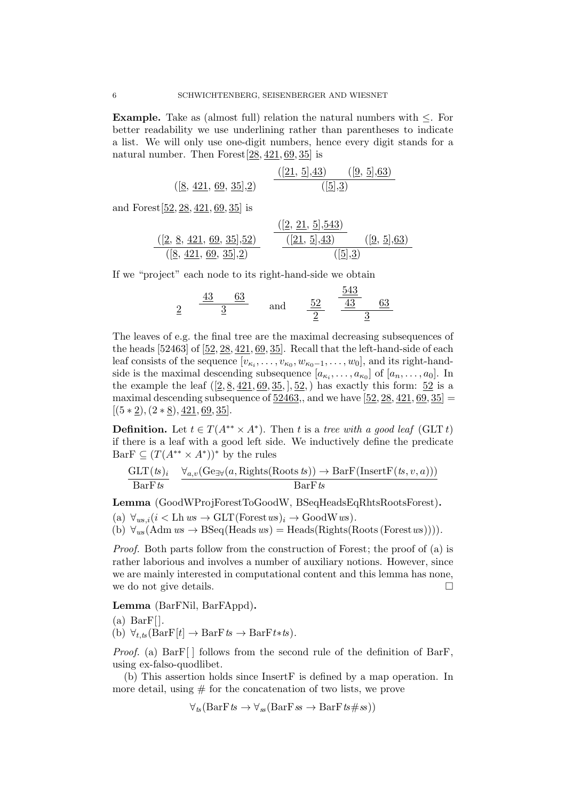**Example.** Take as (almost full) relation the natural numbers with  $\leq$ . For better readability we use underlining rather than parentheses to indicate a list. We will only use one-digit numbers, hence every digit stands for a natural number. Then Forest[28, 421, 69, 35] is

$$
([8, 421, 69, 35], 2) \qquad \frac{([21, 5], 43) \qquad ([9, 5], 63)}{([5], 3)}
$$

and Forest[52, 28, 421, 69, 35] is

$$
\frac{([2, 8, 421, 69, 35], 52)}{([8, 421, 69, 35], 2)}
$$
\n
$$
\frac{([2, 21, 5], 543)}{([21, 5], 43)}
$$
\n
$$
\frac{([9, 5], 63)}{([5], 3)}
$$

If we "project" each node to its right-hand-side we obtain

$$
\frac{43}{2} \quad \frac{63}{3} \quad \text{and} \quad \frac{52}{2} \quad \frac{\frac{543}{43}}{\frac{3}{2}}
$$

The leaves of e.g. the final tree are the maximal decreasing subsequences of the heads [52463] of [52, 28, 421, 69, 35]. Recall that the left-hand-side of each leaf consists of the sequence  $[v_{\kappa_i}, \ldots, v_{\kappa_0}, w_{\kappa_0-1}, \ldots, w_0]$ , and its right-handside is the maximal descending subsequence  $[a_{\kappa_i}, \ldots, a_{\kappa_0}]$  of  $[a_n, \ldots, a_0]$ . In the example the leaf  $([2, 8, 421, 69, 35, ], 52)$  has exactly this form:  $52$  is a maximal descending subsequence of  $52463$ ,, and we have  $[52, 28, 421, 69, 35]$  $[(5 * 2), (2 * 8), 421, 69, 35].$ 

**Definition.** Let  $t \in T(A^{**} \times A^*)$ . Then t is a tree with a good leaf (GLT t) if there is a leaf with a good left side. We inductively define the predicate Bar $F \subseteq (T(A^{**} \times A^*))^*$  by the rules

$$
\frac{\text{GLT}(ts)_i}{\text{BarF}ts} \quad \frac{\forall_{a,v}(\text{Ge}_{\exists \forall}(a, \text{Right}( \text{Roots } ts)) \rightarrow \text{BarF}(\text{InsertF}(ts, v, a)))}{\text{BarF}ts}
$$

Lemma (GoodWProjForestToGoodW, BSeqHeadsEqRhtsRootsForest).

(a)  $\forall_{ws,i} (i < \text{Lh} \, ws \rightarrow \text{GLT}(\text{Forest} \, ws)_i \rightarrow \text{GoodW} \, ws).$ 

(b)  $\forall_{ws} (Adm \, ws \rightarrow BSeq(Heads \, ws) = Heads(Rights(Roots (Forest \, ws))))$ .

Proof. Both parts follow from the construction of Forest; the proof of (a) is rather laborious and involves a number of auxiliary notions. However, since we are mainly interested in computational content and this lemma has none, we do not give details.

#### Lemma (BarFNil, BarFAppd).

 $(a)$  BarF[].

(b)  $\forall_{t,ts} (\text{BarF}[t] \rightarrow \text{BarF}ts \rightarrow \text{BarF}t$ \*ts).

*Proof.* (a)  $BarF[$  follows from the second rule of the definition of BarF, using ex-falso-quodlibet.

(b) This assertion holds since InsertF is defined by a map operation. In more detail, using  $#$  for the concatenation of two lists, we prove

 $\forall_{ts}(\text{BarF}ts \rightarrow \forall_{ss}(\text{BarF}ss \rightarrow \text{BarF}ts\#ss))$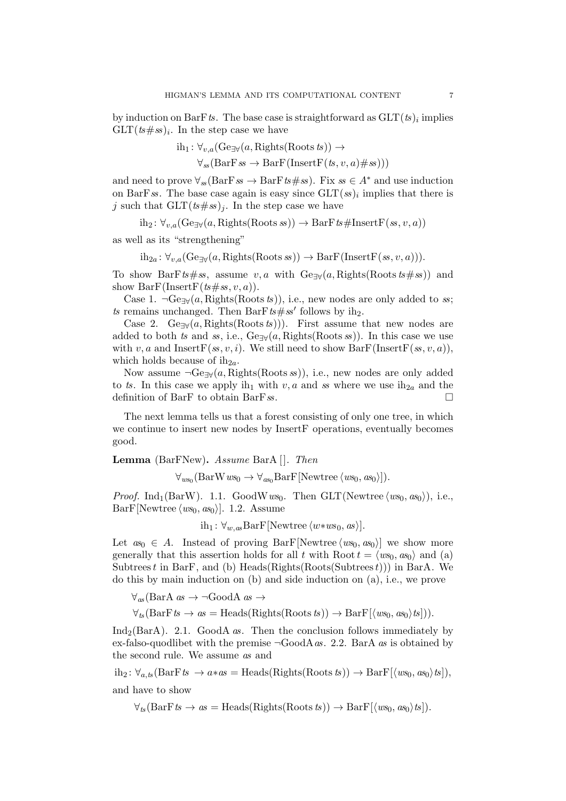by induction on BarFts. The base case is straightforward as  $\operatorname{GLT}(t s)_i$  implies  $\operatorname{GLT}(ts\# ss)_i$ . In the step case we have

$$
ih_1: \forall_{v,a} (\text{Ge}_{\exists \forall}(a, \text{Right}s(\text{Roots } ts)) \rightarrow
$$

$$
\forall_{ss} (\text{BarF } ss \rightarrow \text{BarF } (\text{InsertF } (ts, v, a) \# ss)))
$$

and need to prove  $\forall_{\mathcal{S}}(\text{BarF}\mathit{ss} \to \text{BarF}\mathit{ts} \# \mathit{ss})$ . Fix  $\mathit{ss} \in A^*$  and use induction on BarFss. The base case again is easy since  $\text{GLT}(ss)_i$  implies that there is j such that  $GLT(ts\#ss)_i$ . In the step case we have

 $ih_2: \forall_{v,a} (\text{Ge}_{\exists \forall}(a, \text{Right}( \text{Roots } s)) \rightarrow \text{BarF} \text{ts#InsertF}(s, v, a))$ 

as well as its "strengthening"

$$
ih_{2a}: \forall_{v,a} (\text{Ge}_{\exists \forall}(a, \text{Right}( \text{Roots } s)) \rightarrow \text{BarF}(\text{InsertF}(s, v, a))).
$$

To show BarFts#ss, assume v, a with  $Ge_{\exists \forall}(a, \text{Right}( \text{Roots} \text{ ts} \# \text{ ss}))$  and show  $BarF(InsertF(ts\#ss, v, a))$ .

Case 1.  $\neg \text{Ge}_{\exists \forall}(a, \text{Right}( \text{Roots }ts)),$  i.e., new nodes are only added to ss; ts remains unchanged. Then BarFts#ss' follows by ih<sub>2</sub>.

Case 2. Ge<sub>∃∀</sub>(a, Rights(Roots ts))). First assume that new nodes are added to both ts and ss, i.e.,  $Ge_{\exists \forall}(a, \text{Right}( \text{Roots} s s))$ . In this case we use with v, a and Insert  $F(s_1, v_1, i)$ . We still need to show  $BarF(Insert F(s_1, v_1, a))$ , which holds because of  $ih_{2a}$ .

Now assume  $\neg \text{Ge}_{\exists \forall}(a, \text{Right}( \text{Roots} s))$ , i.e., new nodes are only added to ts. In this case we apply ih<sub>1</sub> with v, a and ss where we use ih<sub>2a</sub> and the definition of BarF to obtain BarFss.

The next lemma tells us that a forest consisting of only one tree, in which we continue to insert new nodes by InsertF operations, eventually becomes good.

Lemma (BarFNew). Assume BarA []. Then

 $\forall_{ws_0}(\text{BarW }ws_0 \rightarrow \forall_{as_0}\text{BarF}[\text{Newtree } \langle ws_0, \text{as}_0 \rangle]).$ 

*Proof.* Ind<sub>1</sub>(BarW). 1.1. GoodWws<sub>0</sub>. Then GLT(Newtree  $\langle ws_0, \alpha s_0 \rangle$ ), i.e.,  $BarF[Newtree \langle ws_0, as_0 \rangle]$ . 1.2. Assume

ih<sub>1</sub> :  $\forall w_{,as}$ BarF[Newtree  $\langle w*ws_0, as \rangle$ ].

Let  $as_0 \in A$ . Instead of proving BarF[Newtree  $\langle ws_0, as_0 \rangle$ ] we show more generally that this assertion holds for all t with Root  $t = \langle ws_0, \alpha s_0 \rangle$  and (a) Subtrees t in BarF, and (b) Heads(Rights(Roots(Subtrees t))) in BarA. We do this by main induction on (b) and side induction on (a), i.e., we prove

 $\forall_{as}$ (BarA *as* → ¬GoodA *as* →  $\forall_{ts}(\text{BarF}ts \to as = \text{Heads}(\text{Right}( \text{Roots} \text{ ts})) \to \text{BarF}[\langle ws_0, \text{ as}_0 \rangle \text{ ts}])$ .

Ind<sub>2</sub>(BarA). 2.1. GoodA *as*. Then the conclusion follows immediately by ex-falso-quodlibet with the premise  $\neg GoodA \text{ as. } 2.2$ . BarA as is obtained by the second rule. We assume as and

 $ih_2: \forall_{a,ts}(\text{BarF }ts \rightarrow a*as = \text{Heads}(\text{Right}( \text{Roots } ts)) \rightarrow \text{BarF}[\langle ws_0, as_0 \rangle ts]),$ and have to show

 $\forall_{ts}(\text{BarF }ts \rightarrow as = \text{Heads}(\text{Right}( \text{Roots } ts)) \rightarrow \text{BarF}(\langle ws_0, \text{as}_0 \rangle ts]).$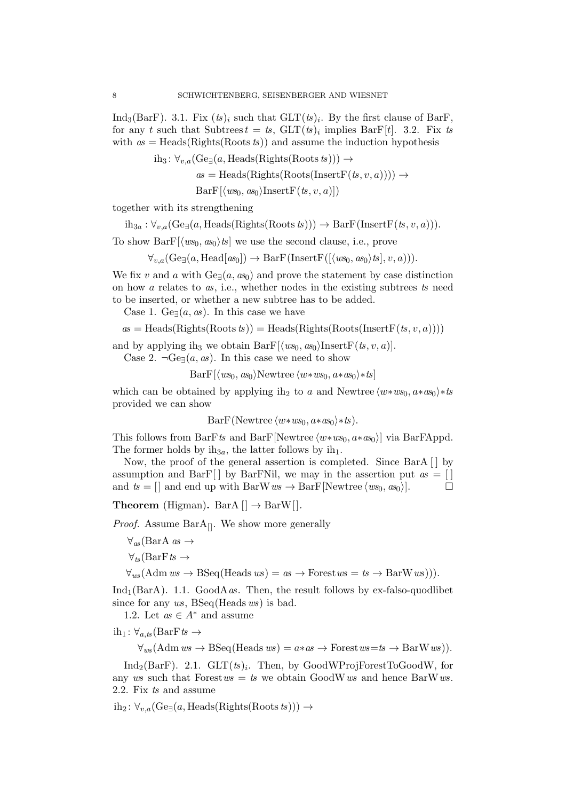Ind<sub>3</sub>(BarF). 3.1. Fix  $(ts)_i$  such that  $GLT(ts)_i$ . By the first clause of BarF, for any t such that Subtrees  $t = t$ ,  $GLT(ts)_i$  implies BarF[t]. 3.2. Fix ts with  $as = \text{Heads}(\text{Right}( \text{Roots } ts))$  and assume the induction hypothesis

$$
ih_3: \forall_{v,a} (Ge_{\exists}(a, \text{Heads}(\text{Rights}(\text{Roots } ts))) \rightarrow
$$
  

$$
as = \text{Heads}(\text{Rights}(\text{Roots}(\text{InsertF}(ts, v, a)))) \rightarrow
$$
  

$$
\text{BarF}[\langle ws_0, as_0 \rangle \text{InsertF}(ts, v, a)]
$$

together with its strengthening

 $ih_{3a}: \forall_{v,a} (\text{Ge}_{\exists}(a, \text{Heads}(\text{Right}( \text{Roots} \text{ ts}))) \rightarrow \text{BarF}(\text{InsertF}(ts, v, a))).$ 

To show BarF $\langle w s_0, \alpha s_0 \rangle$  ts we use the second clause, i.e., prove

 $\forall_{v,a}$ (Ge<sub> $\exists$ </sub>(a, Head[as<sub>0</sub>])  $\rightarrow$  BarF(InsertF([ $\langle ws_0, as_0 \rangle t s$ ], v, a))).

We fix v and a with  $Ge_{\exists}(a, as_{0})$  and prove the statement by case distinction on how a relates to as, i.e., whether nodes in the existing subtrees ts need to be inserted, or whether a new subtree has to be added.

Case 1. Ge $\exists (a, as)$ . In this case we have

 $as = \text{Heads}(\text{Right}( \text{Roots } ts)) = \text{Heads}(\text{Right}( \text{Roots}(\text{InsertF}(ts, v, a))))$ 

and by applying ih<sub>3</sub> we obtain BarF $[\langle ws_0, \alpha s_0 \rangle$ InsertF $(ts, v, a)$ ].

Case 2.  $\neg \text{Ge}(\overline{a}, \overline{a})$ . In this case we need to show

 $BarF[\langle ws_0, as_0\rangle]$ Newtree  $\langle w*ws_0, a*as_0\rangle *ts]$ 

which can be obtained by applying ih<sub>2</sub> to a and Newtree  $\langle w*ws_0, a*as_0 \rangle *ts$ provided we can show

BarF(Newtree  $\langle w*ws_0, a*as_0\rangle *ts$ ).

This follows from BarFts and BarF[Newtree  $\langle w*ws_0, a*as_0 \rangle$ ] via BarFAppd. The former holds by  $ih_{3a}$ , the latter follows by  $ih_1$ .

Now, the proof of the general assertion is completed. Since BarA [ ] by assumption and BarF[] by BarFNil, we may in the assertion put  $as = []$ and  $ts = []$  and end up with BarW  $ws \to BarF[Newtree \langle ws_0, \, ss_0 \rangle]$ .  $\Box$ 

**Theorem** (Higman). BarA  $[] \rightarrow$  BarW $[]$ .

*Proof.* Assume  $BarA_{[]}$ . We show more generally

```
\forall_{as}(BarA as \rightarrow
```
 $\forall_{ts}$ (BarFts  $\rightarrow$ 

 $\forall_{\text{ws}}(\text{Adm }ws \to \text{BSeq}(\text{Heads }ws) = as \to \text{Forest }ws = ts \to \text{BarW }ws)).$ 

Ind<sub>1</sub>(BarA). 1.1. GoodAas. Then, the result follows by ex-falso-quodlibet since for any ws, BSeq(Heads ws) is bad.

1.2. Let  $as \in A^*$  and assume

 $ih_1: \forall_{a,ts}$  (BarFts  $\rightarrow$ 

 $\forall_{ws} (Adm\,ws \rightarrow BSeq(Heads\,ws) = a*as \rightarrow Forest\,ws = ts \rightarrow BarW\,ws)).$ 

 $\text{Ind}_2(\text{BarF})$ . 2.1.  $\text{GLT}(ts)_i$ . Then, by GoodWProjForestToGoodW, for any ws such that Forest  $ws = ts$  we obtain GoodWws and hence BarWws. 2.2. Fix ts and assume

 $\text{ih}_2$ :  $\forall v, a (\text{Ge}(\text{a}, \text{Heads}(\text{Right}( \text{Roots} \text{ ts}))) \rightarrow$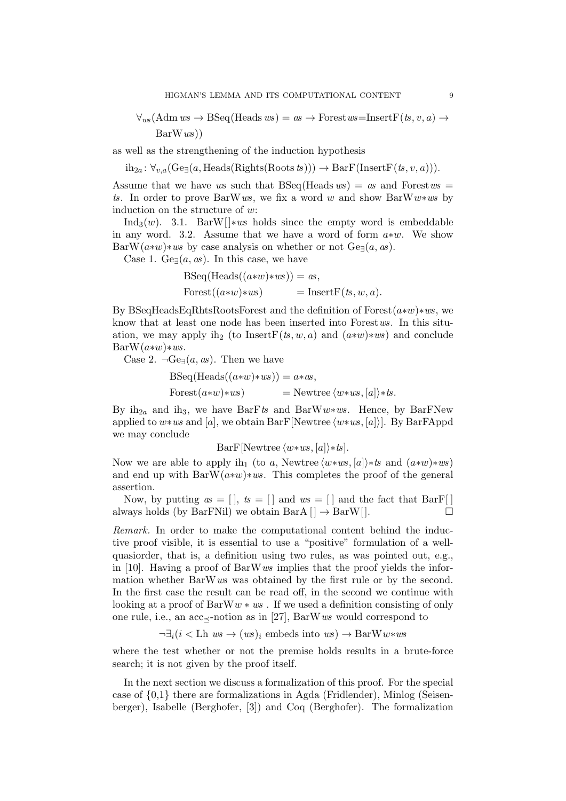$\forall_{ws} (Adm\;ws \rightarrow BSeq(Heads\;ws) = as \rightarrow Forest\;ws=InsertF(ts,v,a) \rightarrow$  $BarWws)$ 

as well as the strengthening of the induction hypothesis

 $ih_{2a}$ :  $\forall v_{a}$ (Ge<sub> $\exists$ </sub>(a, Heads(Rights(Roots ts)))  $\rightarrow$  BarF(InsertF(ts, v, a))).

Assume that we have ws such that  $BSeq(Heads ws) = as$  and Forestws = ts. In order to prove BarWws, we fix a word w and show BarWw $\ast$ ws by induction on the structure of w:

Ind<sub>3</sub> $(w)$ . 3.1. BarW[] $\ast ws$  holds since the empty word is embeddable in any word. 3.2. Assume that we have a word of form  $a*w$ . We show BarW $(a*w)*ws$  by case analysis on whether or not  $Ge_{\exists}(a, as)$ .

Case 1. Ge $\neg(a, \text{as})$ . In this case, we have

BSeq(Heads((a∗w)∗ws)) = as, Forest((a∗w)∗ws) = InsertF(ts, w, a).

By BSeqHeadsEqRhtsRootsForest and the definition of Forest(a∗w)∗ws, we know that at least one node has been inserted into Forest ws. In this situation, we may apply ih<sub>2</sub> (to InsertF(ts, w, a) and  $(a*w)*ws)$  and conclude  $BarW(a*w)*ws.$ 

Case 2.  $\neg \text{Ge}(\mathfrak{a}, \mathfrak{a}\mathfrak{s})$ . Then we have

BSeq(Heads((a∗w)∗ws)) = a∗as, Forest(a∗w)∗ws) = Newtree hw∗ws, [a]i∗ts.

By ih<sub>2a</sub> and ih<sub>3</sub>, we have BarFts and BarWw\*ws. Hence, by BarFNew applied to w∗ws and [a], we obtain BarF[Newtree  $\langle w*ws, [a] \rangle$ ]. By BarFAppd we may conclude

BarF[Newtree  $\langle w*ws, [a]\rangle *ts$ ].

Now we are able to apply ih<sub>1</sub> (to a, Newtree  $\langle w*ws, [a]\rangle *ts$  and  $(a*w)*ws)$ and end up with BarW $(a*w)*ws$ . This completes the proof of the general assertion.

Now, by putting  $as = []$ ,  $ts = []$  and  $ws = []$  and the fact that BarF always holds (by BarFNil) we obtain BarA  $|] \rightarrow$  BarW $|]$ .  $\Box$ 

Remark. In order to make the computational content behind the inductive proof visible, it is essential to use a "positive" formulation of a wellquasiorder, that is, a definition using two rules, as was pointed out, e.g., in [10]. Having a proof of BarW  $ws$  implies that the proof yields the information whether BarWws was obtained by the first rule or by the second. In the first case the result can be read off, in the second we continue with looking at a proof of  $BarW w * ws$ . If we used a definition consisting of only one rule, i.e., an acc $\prec$ -notion as in [27], BarWws would correspond to

 $\neg \exists_i (i \leq \text{Lh} \text{ws} \rightarrow (ws)_i \text{ embeds into } ws) \rightarrow \text{BarW} w \ast ws$ 

where the test whether or not the premise holds results in a brute-force search; it is not given by the proof itself.

In the next section we discuss a formalization of this proof. For the special case of {0,1} there are formalizations in Agda (Fridlender), Minlog (Seisenberger), Isabelle (Berghofer, [3]) and Coq (Berghofer). The formalization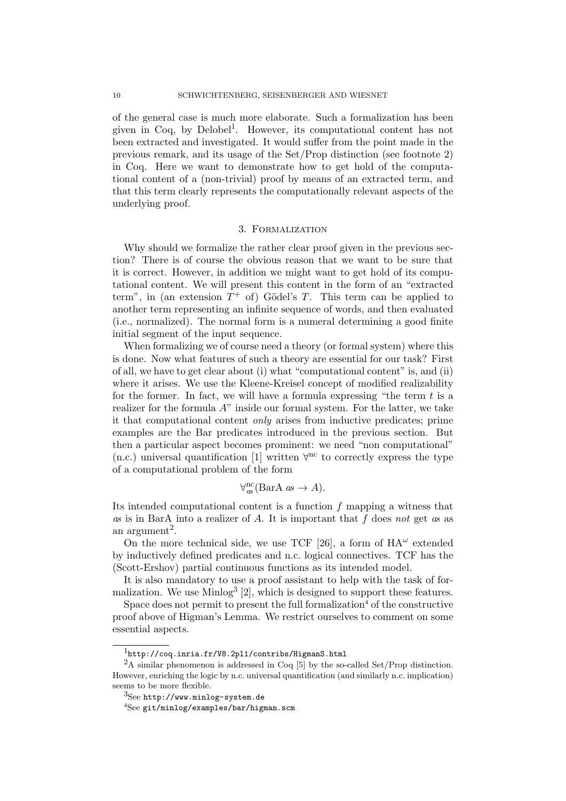of the general case is much more elaborate. Such a formalization has been given in Coq, by Delobel<sup>1</sup>. However, its computational content has not been extracted and investigated. It would suffer from the point made in the previous remark, and its usage of the Set/Prop distinction (see footnote 2) in Coq. Here we want to demonstrate how to get hold of the computational content of a (non-trivial) proof by means of an extracted term, and that this term clearly represents the computationally relevant aspects of the underlying proof.

#### 3. Formalization

Why should we formalize the rather clear proof given in the previous section? There is of course the obvious reason that we want to be sure that it is correct. However, in addition we might want to get hold of its computational content. We will present this content in the form of an "extracted term", in (an extension  $T^+$  of) Gödel's T. This term can be applied to another term representing an infinite sequence of words, and then evaluated (i.e., normalized). The normal form is a numeral determining a good finite initial segment of the input sequence.

When formalizing we of course need a theory (or formal system) where this is done. Now what features of such a theory are essential for our task? First of all, we have to get clear about (i) what "computational content" is, and (ii) where it arises. We use the Kleene-Kreisel concept of modified realizability for the former. In fact, we will have a formula expressing "the term  $t$  is a realizer for the formula  $A$ " inside our formal system. For the latter, we take it that computational content only arises from inductive predicates; prime examples are the Bar predicates introduced in the previous section. But then a particular aspect becomes prominent: we need "non computational" (n.c.) universal quantification [1] written  $\forall^{nc}$  to correctly express the type of a computational problem of the form

$$
\forall_{as}^{nc}(\text{BarA }as \to A).
$$

Its intended computational content is a function f mapping a witness that as is in BarA into a realizer of  $A$ . It is important that  $f$  does not get as as an argument<sup>2</sup>.

On the more technical side, we use TCF [26], a form of  $HA^{\omega}$  extended by inductively defined predicates and n.c. logical connectives. TCF has the (Scott-Ershov) partial continuous functions as its intended model.

It is also mandatory to use a proof assistant to help with the task of formalization. We use  $\text{Minlog}^3$  [2], which is designed to support these features.

Space does not permit to present the full formalization<sup>4</sup> of the constructive proof above of Higman's Lemma. We restrict ourselves to comment on some essential aspects.

<sup>1</sup>http://coq.inria.fr/V8.2pl1/contribs/HigmanS.html

<sup>&</sup>lt;sup>2</sup>A similar phenomenon is addressed in Coq [5] by the so-called Set/Prop distinction. However, enriching the logic by n.c. universal quantification (and similarly n.c. implication) seems to be more flexible.

<sup>3</sup>See http://www.minlog-system.de

 $4$ See git/minlog/examples/bar/higman.scm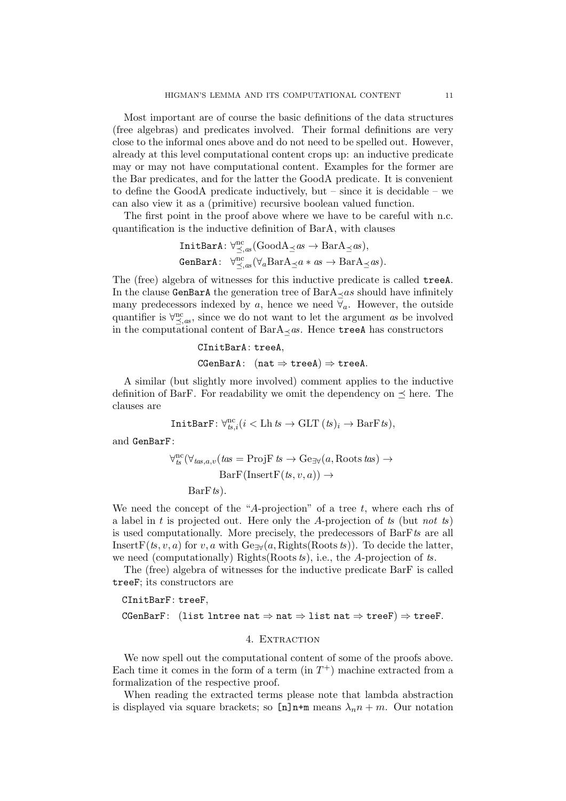Most important are of course the basic definitions of the data structures (free algebras) and predicates involved. Their formal definitions are very close to the informal ones above and do not need to be spelled out. However, already at this level computational content crops up: an inductive predicate may or may not have computational content. Examples for the former are the Bar predicates, and for the latter the GoodA predicate. It is convenient to define the GoodA predicate inductively, but – since it is decidable – we can also view it as a (primitive) recursive boolean valued function.

The first point in the proof above where we have to be careful with n.c. quantification is the inductive definition of BarA, with clauses

$$
\begin{array}{ll}\texttt{InitBarA}: \forall_{\preceq,as}^{nc}(\texttt{GoodA}_{\preceq}as \to \texttt{BarA}_{\preceq}as),\\ \texttt{GenBarA}: & \forall_{\preceq,as}^{nc}(\forall_{a}\texttt{BarA}_{\preceq}a*as \to \texttt{BarA}_{\preceq}as).\end{array}
$$

The (free) algebra of witnesses for this inductive predicate is called treeA. In the clause GenBarA the generation tree of  $BarA_{\prec}as$  should have infinitely many predecessors indexed by a, hence we need  $\forall a$ . However, the outside quantifier is  $\forall_{\leq,as}^{\text{nc}},$  since we do not want to let the argument as be involved in the computational content of  $BarA \prec as$ . Hence treeA has constructors

```
CInitBarA: treeA,
CGenBarA: (nat \Rightarrow treeA) \Rightarrow treeA.
```
A similar (but slightly more involved) comment applies to the inductive definition of BarF. For readability we omit the dependency on  $\preceq$  here. The clauses are

$$
\mathtt{InitBarF} \colon \forall_{ts,i}^\text{nc} (i < \text{Lh} \, \text{ts} \to \text{GLT} \, \text{(ts)}_i \to \text{BarF} \, \text{ts}),
$$

and GenBarF:

$$
\forall_{ts}^{nc}(\forall_{tas,a,v}(tas = ProjF ts \rightarrow Ge_{\exists \forall}(a, Roots tas) \rightarrow
$$

$$
BarF(InsertF(ts, v, a)) \rightarrow
$$

$$
BarF ts).
$$

We need the concept of the "A-projection" of a tree  $t$ , where each rhs of a label in t is projected out. Here only the A-projection of ts (but not ts) is used computationally. More precisely, the predecessors of BarFts are all InsertF(ts, v, a) for v, a with  $Ge_{\exists \forall}(a, \text{Right}( \text{Roots} \text{ ts}))$ . To decide the latter, we need (computationally) Rights(Roots  $ts$ ), i.e., the A-projection of  $ts$ .

The (free) algebra of witnesses for the inductive predicate BarF is called treeF; its constructors are

CInitBarF: treeF,

CGenBarF: (list lntree nat  $\Rightarrow$  nat  $\Rightarrow$  list nat  $\Rightarrow$  treeF)  $\Rightarrow$  treeF.

## 4. EXTRACTION

We now spell out the computational content of some of the proofs above. Each time it comes in the form of a term  $(in T<sup>+</sup>)$  machine extracted from a formalization of the respective proof.

When reading the extracted terms please note that lambda abstraction is displayed via square brackets; so  $[n]$ n+m means  $\lambda_n n + m$ . Our notation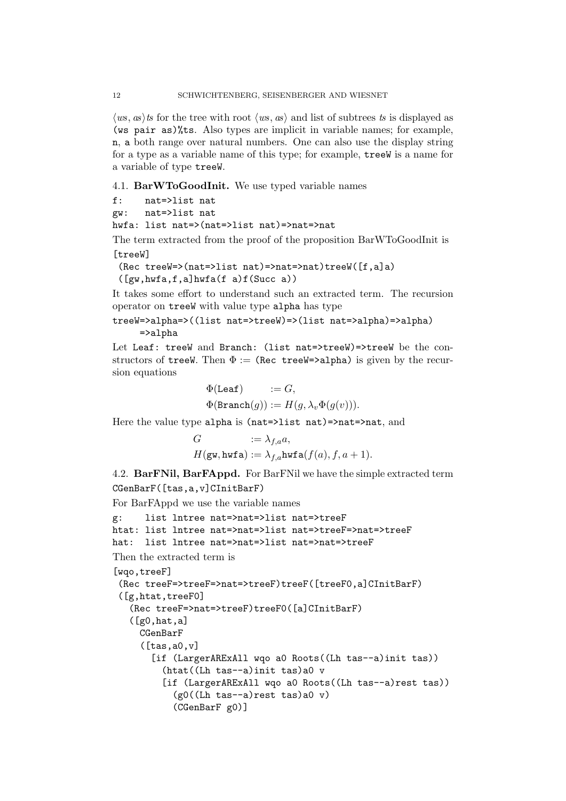$\langle ws, \text{as} \rangle$  ts for the tree with root  $\langle ws, \text{as} \rangle$  and list of subtrees ts is displayed as (ws pair as)%ts. Also types are implicit in variable names; for example, n, a both range over natural numbers. One can also use the display string for a type as a variable name of this type; for example, treeW is a name for a variable of type treeW.

4.1. BarWToGoodInit. We use typed variable names

```
f: nat=>list nat
```
gw: nat=>list nat

hwfa: list nat=>(nat=>list nat)=>nat=>nat

The term extracted from the proof of the proposition BarWToGoodInit is [treeW]

```
(Rec treeW=>(nat=>list nat)=>nat=>nat)treeW([f,a]a)
([gw,hwfa,f,a]hwfa(f a)f(Succ a))
```
It takes some effort to understand such an extracted term. The recursion operator on treeW with value type alpha has type

treeW=>alpha=>((list nat=>treeW)=>(list nat=>alpha)=>alpha) =>alpha

Let Leaf: treeW and Branch: (list nat=>treeW)=>treeW be the constructors of treeW. Then  $\Phi :=$  (Rec treeW=>alpha) is given by the recursion equations

$$
\begin{aligned} \Phi(\texttt{Leaf}) &:= G, \\ \Phi(\texttt{Branch}(g)) &:= H(g, \lambda_v \Phi(g(v))). \end{aligned}
$$

Here the value type alpha is (nat=>list nat)=>nat=>nat, and

$$
G \n:= \lambda_{f,a} a,
$$
  
\n
$$
H(\mathbf{gw}, \mathbf{hwfa}) := \lambda_{f,a} \mathbf{hwfa}(f(a), f, a+1).
$$

4.2. BarFNil, BarFAppd. For BarFNil we have the simple extracted term CGenBarF([tas,a,v]CInitBarF)

```
For BarFAppd we use the variable names
```

```
g: list lntree nat=>nat=>list nat=>treeF
htat: list lntree nat=>nat=>list nat=>treeF=>nat=>treeF
hat: list lntree nat=>nat=>list nat=>nat=>treeF
Then the extracted term is
[wqo,treeF]
 (Rec treeF=>treeF=>nat=>treeF)treeF([treeF0,a]CInitBarF)
 ([g,htat,treeF0]
   (Rec treeF=>nat=>treeF)treeF0([a]CInitBarF)
   ([g0, hat, a])CGenBarF
     ([tas, a0, v][if (LargerARExAll wqo a0 Roots((Lh tas--a)init tas))
         (htat((Lh tas--a)init tas)a0 v
         [if (LargerARExAll wqo a0 Roots((Lh tas--a)rest tas))
           (g0((Lh tas--a)rest tas)a0 v)
           (CGenBarF g0)]
```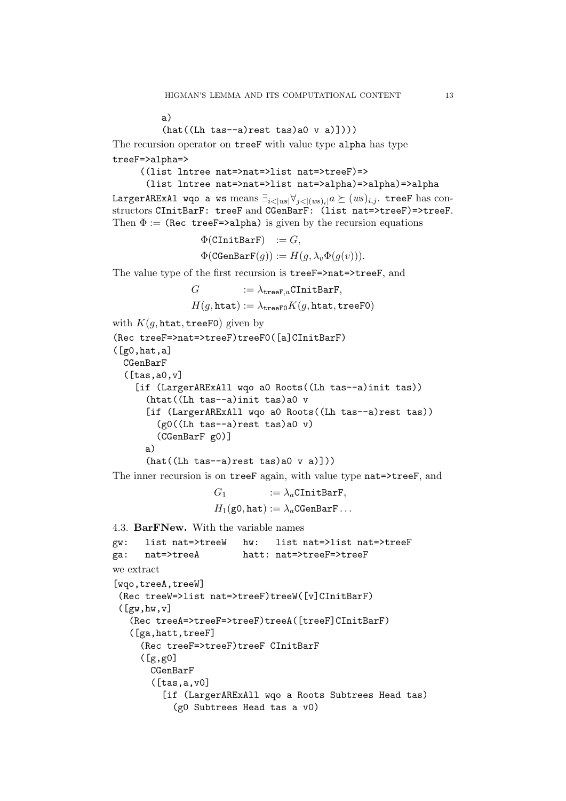a)

```
(hat((Lh tas-a)rest tas)a0 v a)])))
```
The recursion operator on treeF with value type alpha has type treeF=>alpha=>

```
((list lntree nat=>nat=>list nat=>treeF)=>
 (list lntree nat=>nat=>list nat=>alpha)=>alpha)=>alpha
```
LargerARExAl wqo a ws means  $\exists_{i<|ws|}\forall_{j<|(ws)_i|}a \succeq (ws)_{i,j}$ . treeF has constructors CInitBarF: treeF and CGenBarF: (list nat=>treeF)=>treeF. Then  $\Phi$  := (Rec treeF=>alpha) is given by the recursion equations

```
\Phi(CInitBarF) := G,
\Phi(\text{CGenBarF}(q)) := H(q, \lambda_v \Phi(q(v))).
```
The value type of the first recursion is treeF=>nat=>treeF, and

$$
G \quad := \lambda_{\mathbf{treeF},a} \mathtt{CInitBarF}, \\ H(g,\mathtt{htat}) := \lambda_{\mathbf{treeFO}} K(g,\mathtt{htat},\mathtt{treeFO})
$$

```
with K(q, \text{htat}, \text{treeF0}) given by
(Rec treeF=>nat=>treeF)treeF0([a]CInitBarF)
```

```
([g0, hat, a])CGenBarF
 ([tas,a0,v]
    [if (LargerARExAll wqo a0 Roots((Lh tas--a)init tas))
      (htat((Lh tas--a)init tas)a0 v
      [if (LargerARExAll wqo a0 Roots((Lh tas--a)rest tas))
        (g0((Lh tas-a)rest tas)a0 v)(CGenBarF g0)]
     a)
      (hat((Lh tas-a)rest tas)a0 v a)])
```
The inner recursion is on treeF again, with value type nat=>treeF, and

 $G_1$  :=  $\lambda_a$ CInitBarF,  $H_1(\text{g0}, \text{hat}) := \lambda_a \text{CGenBarF} \dots$ 

```
4.3. BarFNew. With the variable names
gw: list nat=>treeW hw: list nat=>list nat=>treeF
ga: nat=>treeA hatt: nat=>treeF=>treeF
we extract
[wqo,treeA,treeW]
 (Rec treeW=>list nat=>treeF)treeW([v]CInitBarF)
 ([gw,hw,v])(Rec treeA=>treeF=>treeF)treeA([treeF]CInitBarF)
   ([ga,hatt,treeF]
     (Rec treeF=>treeF)treeF CInitBarF
     ([g,g0]
      CGenBarF
       ([tas, a, v0][if (LargerARExAll wqo a Roots Subtrees Head tas)
           (g0 Subtrees Head tas a v0)
```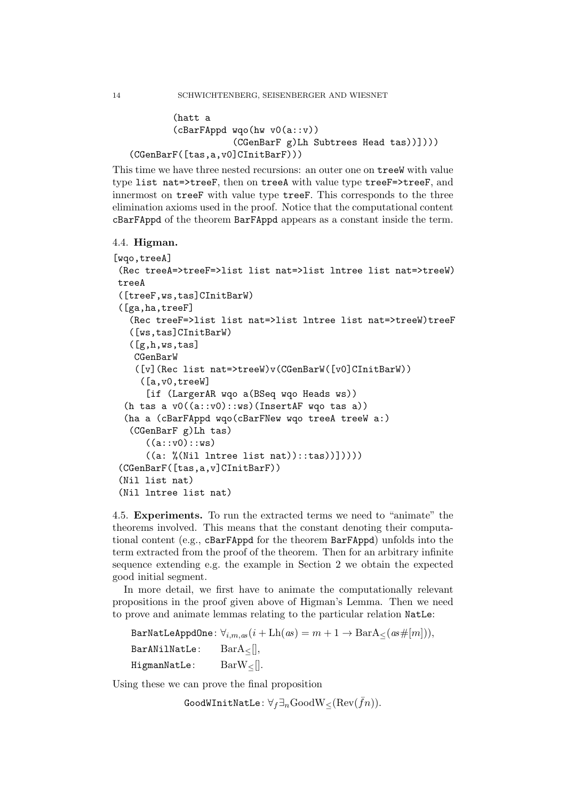```
(hatt a
        (cBarFAppd wqo(hw v0(a::v))
                   (CGenBarF g)Lh Subtrees Head tas))])))
(CGenBarF([tas,a,v0]CInitBarF)))
```
This time we have three nested recursions: an outer one on treeW with value type list nat=>treeF, then on treeA with value type treeF=>treeF, and innermost on treeF with value type treeF. This corresponds to the three elimination axioms used in the proof. Notice that the computational content cBarFAppd of the theorem BarFAppd appears as a constant inside the term.

```
4.4. Higman.
```

```
[wqo,treeA]
(Rec treeA=>treeF=>list list nat=>list lntree list nat=>treeW)
treeA
 ([treeF,ws,tas]CInitBarW)
 ([ga,ha,treeF]
   (Rec treeF=>list list nat=>list lntree list nat=>treeW)treeF
   ([ws,tas]CInitBarW)
   ([g,h,ws,tas]
   CGenBarW
    ([v](Rec list nat=>treeW)v(CGenBarW([v0]CInitBarW))
     ([a,v0,treeW]
      [if (LargerAR wqo a(BSeq wqo Heads ws))
  (h tas a v0((a::v0)::ws)(InsertAF \nwqo tas a))(ha a (cBarFAppd wqo(cBarFNew wqo treeA treeW a:)
   (CGenBarF g)Lh tas)
      ((a::v0)::ws)((a: %(Nil lntree list nat))::tas))]))))
 (CGenBarF([tas,a,v]CInitBarF))
 (Nil list nat)
 (Nil lntree list nat)
```
4.5. Experiments. To run the extracted terms we need to "animate" the theorems involved. This means that the constant denoting their computational content (e.g., cBarFAppd for the theorem BarFAppd) unfolds into the term extracted from the proof of the theorem. Then for an arbitrary infinite sequence extending e.g. the example in Section 2 we obtain the expected good initial segment.

In more detail, we first have to animate the computationally relevant propositions in the proof given above of Higman's Lemma. Then we need to prove and animate lemmas relating to the particular relation NatLe:

BarNatLeAppdOne:  $\forall_{i,m,as}(i + \text{Lh}(as) = m + 1 \rightarrow \text{BarA}_{<}(as \#[m]))$ , BarANilNatLe:  $BarA<sub>≤</sub>||$ , HigmanNatLe:  $BarW_{\leq}$ [].

Using these we can prove the final proposition

GoodWInitNatLe:  $\forall_f \exists_n \text{GoodW}_{\leq}(\text{Rev}(\bar{f}_n)).$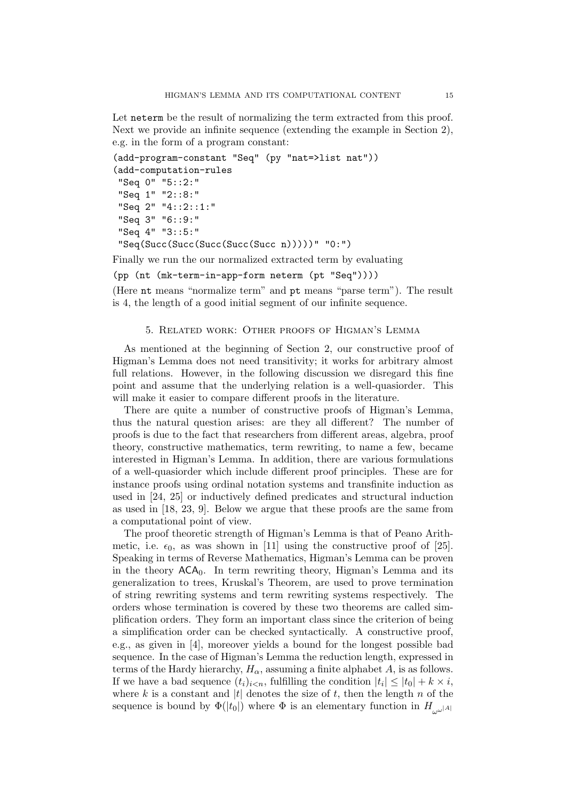Let neterm be the result of normalizing the term extracted from this proof. Next we provide an infinite sequence (extending the example in Section 2), e.g. in the form of a program constant:

```
(add-program-constant "Seq" (py "nat=>list nat"))
(add-computation-rules
"Seq 0" "5::2:"
"Seq 1" "2::8:"
 "Seq 2" "4::2::1:"
"Seq 3" "6::9:"
 "Seq 4" "3::5:"
"Seq(Succ(Succ(Succ(Succ(Succ n)))))" "0:")
```
Finally we run the our normalized extracted term by evaluating

(pp (nt (mk-term-in-app-form neterm (pt "Seq"))))

(Here nt means "normalize term" and pt means "parse term"). The result is 4, the length of a good initial segment of our infinite sequence.

# 5. Related work: Other proofs of Higman's Lemma

As mentioned at the beginning of Section 2, our constructive proof of Higman's Lemma does not need transitivity; it works for arbitrary almost full relations. However, in the following discussion we disregard this fine point and assume that the underlying relation is a well-quasiorder. This will make it easier to compare different proofs in the literature.

There are quite a number of constructive proofs of Higman's Lemma, thus the natural question arises: are they all different? The number of proofs is due to the fact that researchers from different areas, algebra, proof theory, constructive mathematics, term rewriting, to name a few, became interested in Higman's Lemma. In addition, there are various formulations of a well-quasiorder which include different proof principles. These are for instance proofs using ordinal notation systems and transfinite induction as used in [24, 25] or inductively defined predicates and structural induction as used in [18, 23, 9]. Below we argue that these proofs are the same from a computational point of view.

The proof theoretic strength of Higman's Lemma is that of Peano Arithmetic, i.e.  $\epsilon_0$ , as was shown in [11] using the constructive proof of [25]. Speaking in terms of Reverse Mathematics, Higman's Lemma can be proven in the theory  $\mathsf{ACA}_0$ . In term rewriting theory, Higman's Lemma and its generalization to trees, Kruskal's Theorem, are used to prove termination of string rewriting systems and term rewriting systems respectively. The orders whose termination is covered by these two theorems are called simplification orders. They form an important class since the criterion of being a simplification order can be checked syntactically. A constructive proof, e.g., as given in [4], moreover yields a bound for the longest possible bad sequence. In the case of Higman's Lemma the reduction length, expressed in terms of the Hardy hierarchy,  $H_{\alpha}$ , assuming a finite alphabet A, is as follows. If we have a bad sequence  $(t_i)_{i \le n}$ , fulfilling the condition  $|t_i| \le |t_0| + k \times i$ , where k is a constant and |t| denotes the size of t, then the length n of the sequence is bound by  $\Phi(|t_0|)$  where  $\Phi$  is an elementary function in  $H_{\text{total}}$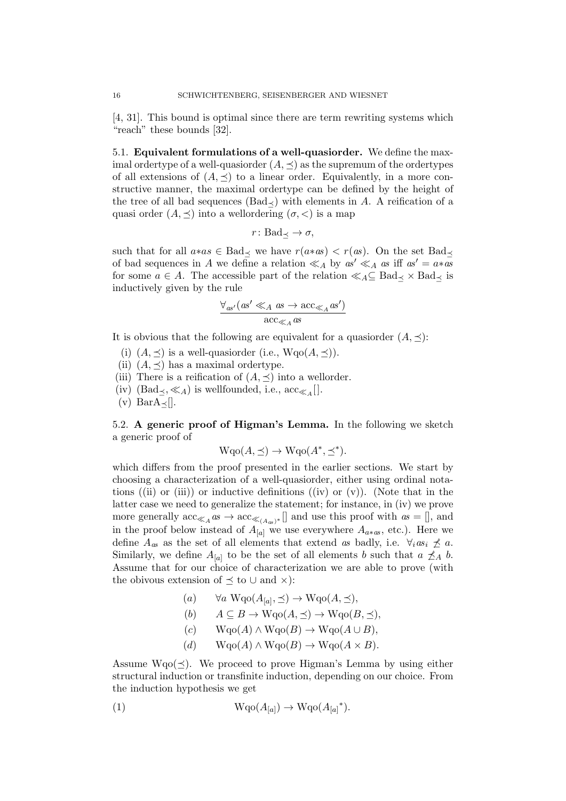[4, 31]. This bound is optimal since there are term rewriting systems which "reach" these bounds [32].

5.1. Equivalent formulations of a well-quasiorder. We define the maximal ordertype of a well-quasiorder  $(A, \prec)$  as the supremum of the ordertypes of all extensions of  $(A, \preceq)$  to a linear order. Equivalently, in a more constructive manner, the maximal ordertype can be defined by the height of the tree of all bad sequences (Bad $\prec$ ) with elements in A. A reification of a quasi order  $(A, \prec)$  into a wellordering  $(\sigma, \prec)$  is a map

$$
r\colon \text{Bad}_{\preceq} \to \sigma,
$$

such that for all  $a*as \in Bad_\prec$  we have  $r(a*as) < r(as)$ . On the set  $Bad_\prec$ of bad sequences in A we define a relation  $\ll_A$  by  $as' \ll_A as$  iff  $as' = a*as$ for some  $a \in A$ . The accessible part of the relation  $\ll_A \subseteq \text{Bad}_{\prec} \times \text{Bad}_{\prec}$  is inductively given by the rule

$$
\frac{\forall_{as'} (as' \ll_A as \to acc_{\ll_A} as')}{acc_{\ll_A} as}
$$

It is obvious that the following are equivalent for a quasiorder  $(A, \preceq)$ :

- (i)  $(A, \preceq)$  is a well-quasionder (i.e.,  $Wqo(A, \preceq)$ ).
- (ii)  $(A, \preceq)$  has a maximal ordertype.
- (iii) There is a reification of  $(A, \preceq)$  into a wellorder.
- (iv)  $(\text{Bad}_{\preceq}, \ll_A)$  is wellfounded, i.e.,  $\text{acc}_{\ll_A}[]$ .

(v) Bar $A_{\prec}$ [].

5.2. A generic proof of Higman's Lemma. In the following we sketch a generic proof of

$$
\mathrm{Wqo}(A,\preceq) \to \mathrm{Wqo}(A^*,\preceq^*).
$$

which differs from the proof presented in the earlier sections. We start by choosing a characterization of a well-quasiorder, either using ordinal notations ((ii) or (iii)) or inductive definitions ((iv) or  $(v)$ ). (Note that in the latter case we need to generalize the statement; for instance, in (iv) we prove more generally  $\mathrm{acc}_{\ll_{A}}$  as  $\rightarrow \mathrm{acc}_{\ll_{(A_{as})^*}}[]$  and use this proof with  $as = []$ , and in the proof below instead of  $A_{[a]}$  we use everywhere  $A_{a*as}$ , etc.). Here we define  $A_{as}$  as the set of all elements that extend as badly, i.e.  $\forall_i as_i \nleq a$ . Similarly, we define  $A_{[a]}$  to be the set of all elements b such that  $a \nleq_A b$ . Assume that for our choice of characterization we are able to prove (with the obivous extension of  $\preceq$  to  $\cup$  and  $\times$ ):

- $(a) \quad \forall a \ \text{Wqo}(A_{[a]}, \preceq) \rightarrow \text{Wqo}(A, \preceq),$
- (b)  $A \subseteq B \to \text{Wqo}(A, \preceq) \to \text{Wqo}(B, \preceq),$
- $(c)$  Wqo $(A) \wedge W$ qo $(B) \rightarrow W$ qo $(A \cup B)$ ,
- (d)  $W \text{qo}(A) \wedge W \text{qo}(B) \rightarrow W \text{qo}(A \times B).$

Assume  $Wqo(\leq)$ . We proceed to prove Higman's Lemma by using either structural induction or transfinite induction, depending on our choice. From the induction hypothesis we get

(1) 
$$
Wqo(A_{[a]}) \rightarrow Wqo(A_{[a]}^*).
$$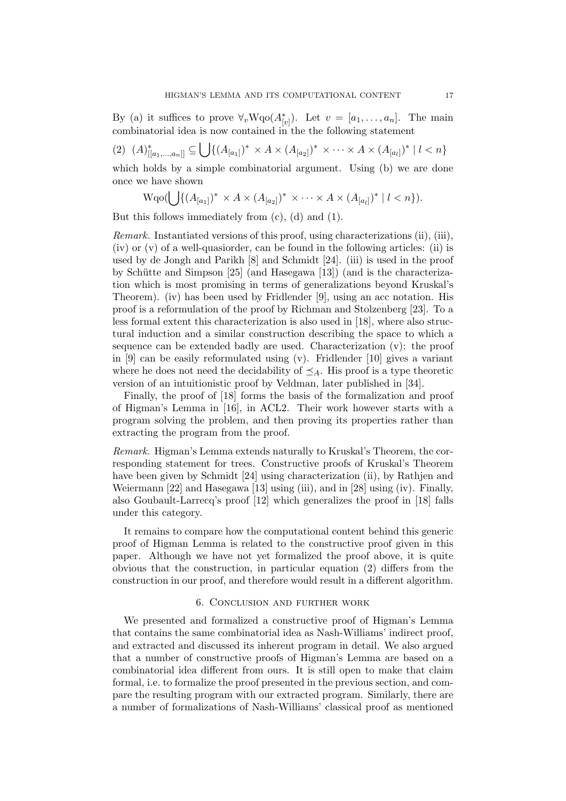By (a) it suffices to prove  $\forall_v \text{Wqo}(A_{[v]}^*)$ . Let  $v = [a_1, \ldots, a_n]$ . The main combinatorial idea is now contained in the the following statement

$$
(2) \ \ (A)^*_{[[a_1,...,a_n]]} \subseteq \bigcup \{ (A_{[a_1]})^* \times A \times (A_{[a_2]})^* \times \cdots \times A \times (A_{[a_l]})^* \mid l < n \}
$$

which holds by a simple combinatorial argument. Using (b) we are done once we have shown

$$
\mathrm{Wqo}(\bigcup \{ (A_{[a_1]})^* \times A \times (A_{[a_2]})^* \times \cdots \times A \times (A_{[a_l]})^* | l < n \}).
$$

But this follows immediately from (c), (d) and (1).

Remark. Instantiated versions of this proof, using characterizations (ii), (iii), (iv) or  $(v)$  of a well-quasionder, can be found in the following articles: (ii) is used by de Jongh and Parikh [8] and Schmidt [24]. (iii) is used in the proof by Schütte and Simpson  $[25]$  (and Hasegawa  $[13]$ ) (and is the characterization which is most promising in terms of generalizations beyond Kruskal's Theorem). (iv) has been used by Fridlender [9], using an acc notation. His proof is a reformulation of the proof by Richman and Stolzenberg [23]. To a less formal extent this characterization is also used in [18], where also structural induction and a similar construction describing the space to which a sequence can be extended badly are used. Characterization (v): the proof in [9] can be easily reformulated using (v). Fridlender [10] gives a variant where he does not need the decidability of  $\preceq_A$ . His proof is a type theoretic version of an intuitionistic proof by Veldman, later published in [34].

Finally, the proof of [18] forms the basis of the formalization and proof of Higman's Lemma in [16], in ACL2. Their work however starts with a program solving the problem, and then proving its properties rather than extracting the program from the proof.

Remark. Higman's Lemma extends naturally to Kruskal's Theorem, the corresponding statement for trees. Constructive proofs of Kruskal's Theorem have been given by Schmidt [24] using characterization (ii), by Rathjen and Weiermann [22] and Hasegawa [13] using (iii), and in [28] using (iv). Finally, also Goubault-Larrecq's proof [12] which generalizes the proof in [18] falls under this category.

It remains to compare how the computational content behind this generic proof of Higman Lemma is related to the constructive proof given in this paper. Although we have not yet formalized the proof above, it is quite obvious that the construction, in particular equation (2) differs from the construction in our proof, and therefore would result in a different algorithm.

### 6. Conclusion and further work

We presented and formalized a constructive proof of Higman's Lemma that contains the same combinatorial idea as Nash-Williams' indirect proof, and extracted and discussed its inherent program in detail. We also argued that a number of constructive proofs of Higman's Lemma are based on a combinatorial idea different from ours. It is still open to make that claim formal, i.e. to formalize the proof presented in the previous section, and compare the resulting program with our extracted program. Similarly, there are a number of formalizations of Nash-Williams' classical proof as mentioned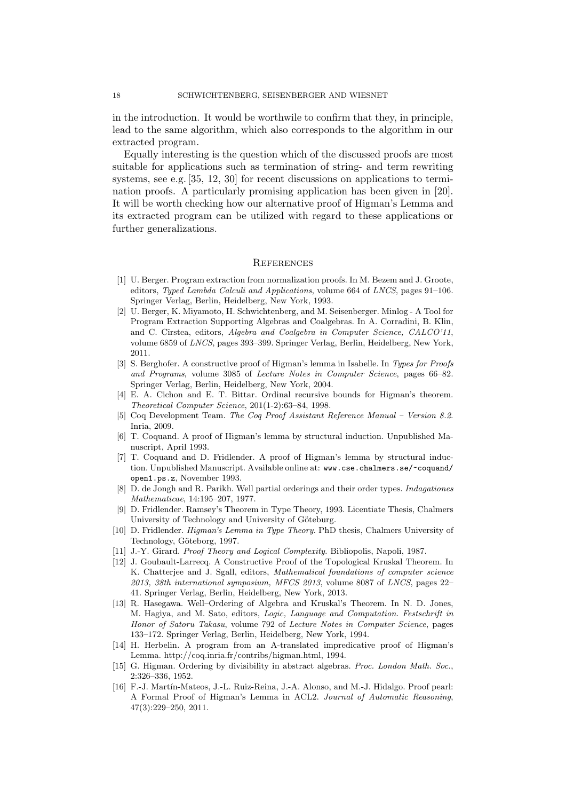in the introduction. It would be worthwile to confirm that they, in principle, lead to the same algorithm, which also corresponds to the algorithm in our extracted program.

Equally interesting is the question which of the discussed proofs are most suitable for applications such as termination of string- and term rewriting systems, see e.g. [35, 12, 30] for recent discussions on applications to termination proofs. A particularly promising application has been given in [20]. It will be worth checking how our alternative proof of Higman's Lemma and its extracted program can be utilized with regard to these applications or further generalizations.

#### **REFERENCES**

- [1] U. Berger. Program extraction from normalization proofs. In M. Bezem and J. Groote, editors, Typed Lambda Calculi and Applications, volume 664 of LNCS, pages 91–106. Springer Verlag, Berlin, Heidelberg, New York, 1993.
- [2] U. Berger, K. Miyamoto, H. Schwichtenberg, and M. Seisenberger. Minlog A Tool for Program Extraction Supporting Algebras and Coalgebras. In A. Corradini, B. Klin, and C. Cîrstea, editors, Algebra and Coalgebra in Computer Science, CALCO'11, volume 6859 of LNCS, pages 393–399. Springer Verlag, Berlin, Heidelberg, New York, 2011.
- [3] S. Berghofer. A constructive proof of Higman's lemma in Isabelle. In Types for Proofs and Programs, volume 3085 of Lecture Notes in Computer Science, pages 66–82. Springer Verlag, Berlin, Heidelberg, New York, 2004.
- [4] E. A. Cichon and E. T. Bittar. Ordinal recursive bounds for Higman's theorem. Theoretical Computer Science, 201(1-2):63–84, 1998.
- [5] Coq Development Team. The Coq Proof Assistant Reference Manual Version 8.2. Inria, 2009.
- [6] T. Coquand. A proof of Higman's lemma by structural induction. Unpublished Manuscript, April 1993.
- [7] T. Coquand and D. Fridlender. A proof of Higman's lemma by structural induction. Unpublished Manuscript. Available online at: www.cse.chalmers.se/~coquand/ open1.ps.z, November 1993.
- [8] D. de Jongh and R. Parikh. Well partial orderings and their order types. Indagationes Mathematicae, 14:195–207, 1977.
- [9] D. Fridlender. Ramsey's Theorem in Type Theory, 1993. Licentiate Thesis, Chalmers University of Technology and University of Göteburg.
- [10] D. Fridlender. Higman's Lemma in Type Theory. PhD thesis, Chalmers University of Technology, Göteborg, 1997.
- [11] J.-Y. Girard. Proof Theory and Logical Complexity. Bibliopolis, Napoli, 1987.
- [12] J. Goubault-Larrecq. A Constructive Proof of the Topological Kruskal Theorem. In K. Chatterjee and J. Sgall, editors, Mathematical foundations of computer science 2013, 38th international symposium, MFCS 2013, volume 8087 of LNCS, pages 22– 41. Springer Verlag, Berlin, Heidelberg, New York, 2013.
- [13] R. Hasegawa. Well–Ordering of Algebra and Kruskal's Theorem. In N. D. Jones, M. Hagiya, and M. Sato, editors, Logic, Language and Computation. Festschrift in Honor of Satoru Takasu, volume 792 of Lecture Notes in Computer Science, pages 133–172. Springer Verlag, Berlin, Heidelberg, New York, 1994.
- [14] H. Herbelin. A program from an A-translated impredicative proof of Higman's Lemma. http://coq.inria.fr/contribs/higman.html, 1994.
- [15] G. Higman. Ordering by divisibility in abstract algebras. Proc. London Math. Soc., 2:326–336, 1952.
- [16] F.-J. Martín-Mateos, J.-L. Ruiz-Reina, J.-A. Alonso, and M.-J. Hidalgo. Proof pearl: A Formal Proof of Higman's Lemma in ACL2. Journal of Automatic Reasoning, 47(3):229–250, 2011.